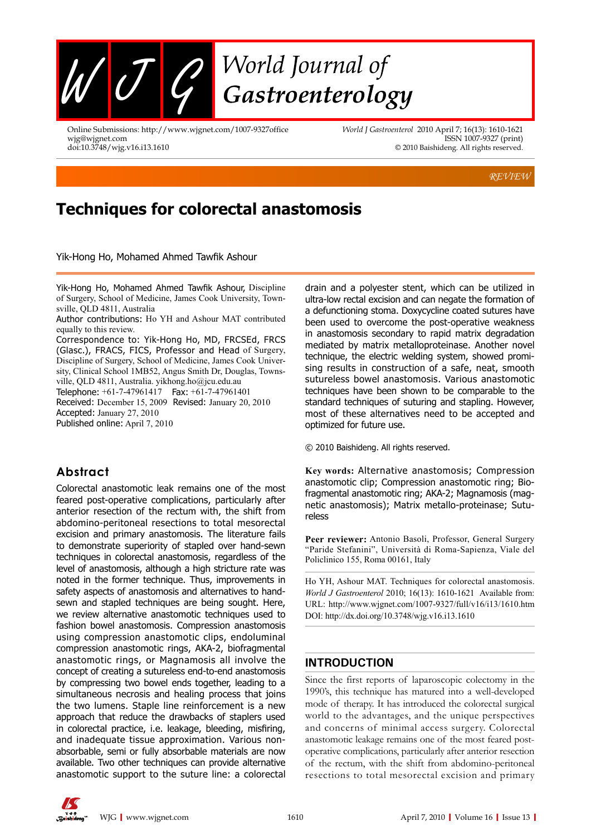

Online Submissions: http://www.wjgnet.com/1007-9327office wjg@wjgnet.com doi:10.3748/wjg.v16.i13.1610

*World J Gastroenterol* 2010 April 7; 16(13): 1610-1621 ISSN 1007-9327 (print) © 2010 Baishideng. All rights reserved.

*REVIEW*

# **Techniques for colorectal anastomosis**

Yik-Hong Ho, Mohamed Ahmed Tawfik Ashour

Yik-Hong Ho, Mohamed Ahmed Tawfik Ashour, Discipline of Surgery, School of Medicine, James Cook University, Townsville, QLD 4811, Australia

Correspondence to: Yik-Hong Ho, MD, FRCSEd, FRCS (Glasc.), FRACS, FICS, Professor and Head of Surgery, Discipline of Surgery, School of Medicine, James Cook University, Clinical School 1MB52, Angus Smith Dr, Douglas, Townsville, QLD 4811, Australia. yikhong.ho@jcu.edu.au

Telephone: +61-7-47961417 Fax: +61-7-47961401

Received: December 15, 2009 Revised: January 20, 2010 Accepted: January 27, 2010

Published online: April 7, 2010

# **Abstract**

Colorectal anastomotic leak remains one of the most feared post-operative complications, particularly after anterior resection of the rectum with, the shift from abdomino-peritoneal resections to total mesorectal excision and primary anastomosis. The literature fails to demonstrate superiority of stapled over hand-sewn techniques in colorectal anastomosis, regardless of the level of anastomosis, although a high stricture rate was noted in the former technique. Thus, improvements in safety aspects of anastomosis and alternatives to handsewn and stapled techniques are being sought. Here, we review alternative anastomotic techniques used to fashion bowel anastomosis. Compression anastomosis using compression anastomotic clips, endoluminal compression anastomotic rings, AKA-2, biofragmental anastomotic rings, or Magnamosis all involve the concept of creating a sutureless end-to-end anastomosis by compressing two bowel ends together, leading to a simultaneous necrosis and healing process that joins the two lumens. Staple line reinforcement is a new approach that reduce the drawbacks of staplers used in colorectal practice, i.e. leakage, bleeding, misfiring, and inadequate tissue approximation. Various nonabsorbable, semi or fully absorbable materials are now available. Two other techniques can provide alternative anastomotic support to the suture line: a colorectal

drain and a polyester stent, which can be utilized in ultra-low rectal excision and can negate the formation of a defunctioning stoma. Doxycycline coated sutures have been used to overcome the post-operative weakness in anastomosis secondary to rapid matrix degradation mediated by matrix metalloproteinase. Another novel technique, the electric welding system, showed promising results in construction of a safe, neat, smooth sutureless bowel anastomosis. Various anastomotic techniques have been shown to be comparable to the standard techniques of suturing and stapling. However, most of these alternatives need to be accepted and optimized for future use.

© 2010 Baishideng. All rights reserved.

**Key words:** Alternative anastomosis; Compression anastomotic clip; Compression anastomotic ring; Biofragmental anastomotic ring; AKA-2; Magnamosis (magnetic anastomosis); matrix metallo-proteinase; Sutureless

**Peer reviewer:** Antonio Basoli, Professor, General Surgery "Paride Stefanini", Università di Roma-Sapienza, Viale del Policlinico 155, Roma 00161, Italy

Ho YH, Ashour MAT. Techniques for colorectal anastomosis. *World J Gastroenterol* 2010; 16(13): 1610-1621 Available from: URL: http://www.wjgnet.com/1007-9327/full/v16/i13/1610.htm DOI: http://dx.doi.org/10.3748/wjg.v16.i13.1610

### **INTRODUCTION**

Since the first reports of laparoscopic colectomy in the 1990's, this technique has matured into a well-developed mode of therapy. It has introduced the colorectal surgical world to the advantages, and the unique perspectives and concerns of minimal access surgery. Colorectal anastomotic leakage remains one of the most feared postoperative complications, particularly after anterior resection of the rectum, with the shift from abdomino-peritoneal resections to total mesorectal excision and primary



Author contributions: Ho YH and Ashour MAT contributed equally to this review.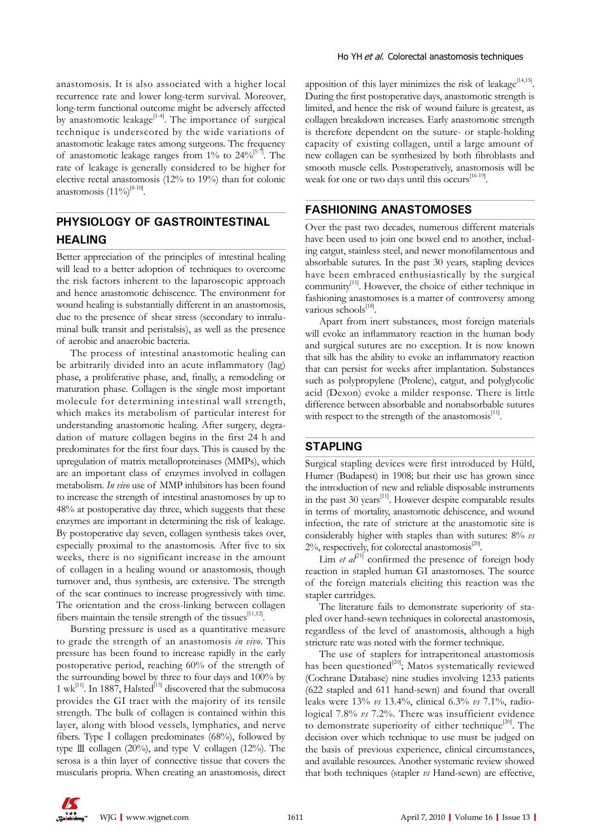anastomosis. It is also associated with a higher local recurrence rate and lower long-term survival. Moreover, long-term functional outcome might be adversely affected by anastomotic leakage $[1-4]$ . The importance of surgical technique is underscored by the wide variations of anastomotic leakage rates among surgeons. The frequency of anastomotic leakage ranges from  $1\%$  to  $24\%$ <sup>[5-7]</sup>. The rate of leakage is generally considered to be higher for elective rectal anastomosis (12% to 19%) than for colonic anastomosis  $(11\%)^{[8-10]}$ .

# **PHYSIOLOGY OF GASTROINTESTINAL HEALING**

Better appreciation of the principles of intestinal healing will lead to a better adoption of techniques to overcome the risk factors inherent to the laparoscopic approach and hence anastomotic dehiscence. The environment for wound healing is substantially different in an anastomosis, due to the presence of shear stress (secondary to intraluminal bulk transit and peristalsis), as well as the presence of aerobic and anaerobic bacteria.

The process of intestinal anastomotic healing can be arbitrarily divided into an acute inflammatory (lag) phase, a proliferative phase, and, finally, a remodeling or maturation phase. Collagen is the single most important molecule for determining intestinal wall strength, which makes its metabolism of particular interest for understanding anastomotic healing. After surgery, degradation of mature collagen begins in the first 24 h and predominates for the first four days. This is caused by the upregulation of matrix metalloproteinases (MMPs), which are an important class of enzymes involved in collagen metabolism. *In vivo* use of MMP inhibitors has been found to increase the strength of intestinal anastomoses by up to 48% at postoperative day three, which suggests that these enzymes are important in determining the risk of leakage. By postoperative day seven, collagen synthesis takes over, especially proximal to the anastomosis. After five to six weeks, there is no significant increase in the amount of collagen in a healing wound or anastomosis, though turnover and, thus synthesis, are extensive. The strength of the scar continues to increase progressively with time. The orientation and the cross-linking between collagen fibers maintain the tensile strength of the tissues $[11,12]$ .

Bursting pressure is used as a quantitative measure to grade the strength of an anastomosis *in vivo*. This pressure has been found to increase rapidly in the early postoperative period, reaching 60% of the strength of the surrounding bowel by three to four days and 100% by 1 wk<sup>[11]</sup>. In 1887, Halsted<sup>[13]</sup> discovered that the submucosa provides the GI tract with the majority of its tensile strength. The bulk of collagen is contained within this layer, along with blood vessels, lymphatics, and nerve fibers. Type I collagen predominates  $(68%)$ , followed by type  $\mathbb{II}$  collagen (20%), and type V collagen (12%). The serosa is a thin layer of connective tissue that covers the muscularis propria. When creating an anastomosis, direct apposition of this layer minimizes the risk of leakage $[14,15]$ . During the first postoperative days, anastomotic strength is limited, and hence the risk of wound failure is greatest, as collagen breakdown increases. Early anastomotic strength is therefore dependent on the suture- or staple-holding capacity of existing collagen, until a large amount of new collagen can be synthesized by both fibroblasts and smooth muscle cells. Postoperatively, anastomosis will be weak for one or two days until this occurs<sup>[16-19]</sup>.

### **FASHIONING ANASTOMOSES**

Over the past two decades, numerous different materials have been used to join one bowel end to another, including catgut, stainless steel, and newer monofilamentous and absorbable sutures. In the past 30 years, stapling devices have been embraced enthusiastically by the surgical community<sup>[11]</sup>. However, the choice of either technique in fashioning anastomoses is a matter of controversy among various schools $^{[18]}$ .

Apart from inert substances, most foreign materials will evoke an inflammatory reaction in the human body and surgical sutures are no exception. It is now known that silk has the ability to evoke an inflammatory reaction that can persist for weeks after implantation. Substances such as polypropylene (Prolene), catgut, and polyglycolic acid (Dexon) evoke a milder response. There is little difference between absorbable and nonabsorbable sutures with respect to the strength of the anastomosis $^{[11]}$ .

### **STAPLING**

Surgical stapling devices were first introduced by Hültl, Humer (Budapest) in 1908; but their use has grown since the introduction of new and reliable disposable instruments in the past  $30$  years<sup>[11]</sup>. However despite comparable results in terms of mortality, anastomotic dehiscence, and wound infection, the rate of stricture at the anastomotic site is considerably higher with staples than with sutures: 8% *vs*   $2\%$ , respectively, for colorectal anastomosis<sup>[20]</sup>.

Lim *et al*<sup>21]</sup> confirmed the presence of foreign body reaction in stapled human GI anastomoses. The source of the foreign materials eliciting this reaction was the stapler cartridges.

The literature fails to demonstrate superiority of stapled over hand-sewn techniques in colorectal anastomosis, regardless of the level of anastomosis, although a high stricture rate was noted with the former technique.

The use of staplers for intraperitoneal anastomosis has been questioned<sup>[20]</sup>; Matos systematically reviewed (Cochrane Database) nine studies involving 1233 patients (622 stapled and 611 hand-sewn) and found that overall leaks were 13% *vs* 13.4%, clinical 6.3% *vs* 7.1%, radiological 7.8% *vs* 7.2%. There was insufficient evidence to demonstrate superiority of either technique<sup>[20]</sup>. The decision over which technique to use must be judged on the basis of previous experience, clinical circumstances, and available resources. Another systematic review showed that both techniques (stapler *vs* Hand-sewn) are effective,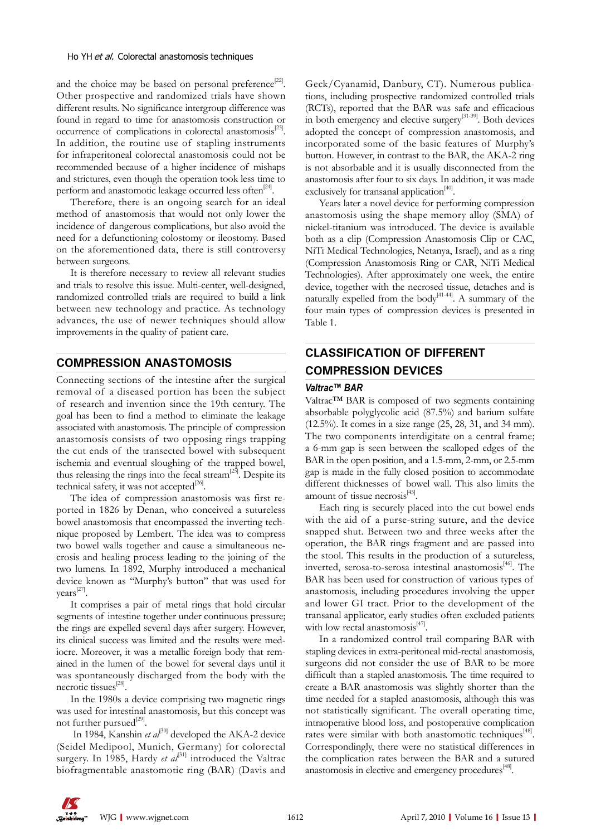and the choice may be based on personal preference<sup>[22]</sup>. Other prospective and randomized trials have shown different results. No significance intergroup difference was found in regard to time for anastomosis construction or occurrence of complications in colorectal anastomosis $^{[23]}$ . In addition, the routine use of stapling instruments for infraperitoneal colorectal anastomosis could not be recommended because of a higher incidence of mishaps and strictures, even though the operation took less time to perform and anastomotic leakage occurred less often<sup>[24]</sup>.

Therefore, there is an ongoing search for an ideal method of anastomosis that would not only lower the incidence of dangerous complications, but also avoid the need for a defunctioning colostomy or ileostomy. Based on the aforementioned data, there is still controversy between surgeons.

It is therefore necessary to review all relevant studies and trials to resolve this issue. Multi-center, well-designed, randomized controlled trials are required to build a link between new technology and practice. As technology advances, the use of newer techniques should allow improvements in the quality of patient care.

#### **COMPRESSION ANASTOMOSIS**

Connecting sections of the intestine after the surgical removal of a diseased portion has been the subject of research and invention since the 19th century. The goal has been to find a method to eliminate the leakage associated with anastomosis. The principle of compression anastomosis consists of two opposing rings trapping the cut ends of the transected bowel with subsequent ischemia and eventual sloughing of the trapped bowel, thus releasing the rings into the fecal stream<sup>[25]</sup>. Despite its technical safety, it was not accepted $^{[26]}$ .

The idea of compression anastomosis was first reported in 1826 by Denan, who conceived a sutureless bowel anastomosis that encompassed the inverting technique proposed by Lembert. The idea was to compress two bowel walls together and cause a simultaneous necrosis and healing process leading to the joining of the two lumens. In 1892, Murphy introduced a mechanical device known as ''Murphy's button'' that was used for years<sup>[27]</sup>.

It comprises a pair of metal rings that hold circular segments of intestine together under continuous pressure; the rings are expelled several days after surgery. However, its clinical success was limited and the results were mediocre. Moreover, it was a metallic foreign body that remained in the lumen of the bowel for several days until it was spontaneously discharged from the body with the necrotic tissues<sup>[28]</sup>.

In the 1980s a device comprising two magnetic rings was used for intestinal anastomosis, but this concept was not further pursued<sup>[29]</sup>.

In 1984, Kanshin *et al*<sup>30]</sup> developed the AKA-2 device (Seidel Medipool, Munich, Germany) for colorectal surgery. In 1985, Hardy *et al*<sup>[31]</sup> introduced the Valtrac biofragmentable anastomotic ring (BAR) (Davis and

Geck/Cyanamid, Danbury, CT). Numerous publications, including prospective randomized controlled trials (RCTs), reported that the BAR was safe and efficacious in both emergency and elective surgery<sup>[31-39]</sup>. Both devices adopted the concept of compression anastomosis, and incorporated some of the basic features of Murphy's button. However, in contrast to the BAR, the AKA-2 ring is not absorbable and it is usually disconnected from the anastomosis after four to six days. In addition, it was made exclusively for transanal application $40$ .

Years later a novel device for performing compression anastomosis using the shape memory alloy (SMA) of nickel-titanium was introduced. The device is available both as a clip (Compression Anastomosis Clip or CAC, NiTi Medical Technologies, Netanya, Israel), and as a ring (Compression Anastomosis Ring or CAR, NiTi Medical Technologies). After approximately one week, the entire device, together with the necrosed tissue, detaches and is naturally expelled from the body<sup>[41-44]</sup>. A summary of the four main types of compression devices is presented in Table 1.

# **CLASSIFICATION OF DIFFERENT COMPRESSION DEVICES**

#### *Valtrac™ BAR*

Valtrac™ BAR is composed of two segments containing absorbable polyglycolic acid (87.5%) and barium sulfate (12.5%). It comes in a size range (25, 28, 31, and 34 mm). The two components interdigitate on a central frame; a 6-mm gap is seen between the scalloped edges of the BAR in the open position, and a 1.5-mm, 2-mm, or 2.5-mm gap is made in the fully closed position to accommodate different thicknesses of bowel wall. This also limits the amount of tissue necrosis[45].

Each ring is securely placed into the cut bowel ends with the aid of a purse-string suture, and the device snapped shut. Between two and three weeks after the operation, the BAR rings fragment and are passed into the stool. This results in the production of a sutureless, inverted, serosa-to-serosa intestinal anastomosis<sup>[46]</sup>. The BAR has been used for construction of various types of anastomosis, including procedures involving the upper and lower GI tract. Prior to the development of the transanal applicator, early studies often excluded patients with low rectal anastomosis $[47]$ .

In a randomized control trail comparing BAR with stapling devices in extra-peritoneal mid-rectal anastomosis, surgeons did not consider the use of BAR to be more difficult than a stapled anastomosis. The time required to create a BAR anastomosis was slightly shorter than the time needed for a stapled anastomosis, although this was not statistically significant. The overall operating time, intraoperative blood loss, and postoperative complication rates were similar with both anastomotic techniques<sup>[48]</sup>. Correspondingly, there were no statistical differences in the complication rates between the BAR and a sutured anastomosis in elective and emergency procedures<sup>[48]</sup>.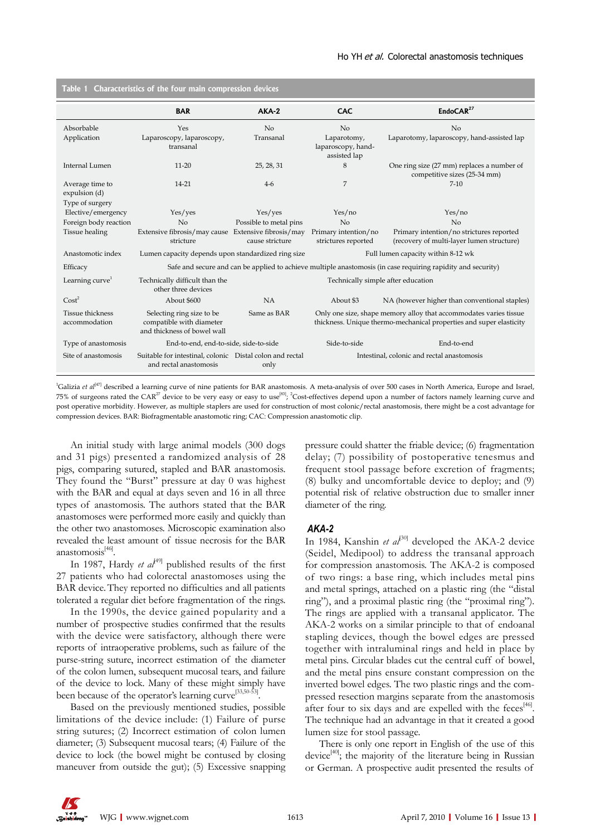| Table 1<br>Characteristics of the four main compression devices |                                                                                                              |                                    |                                                                                                                                          |                                                                                       |  |  |  |  |
|-----------------------------------------------------------------|--------------------------------------------------------------------------------------------------------------|------------------------------------|------------------------------------------------------------------------------------------------------------------------------------------|---------------------------------------------------------------------------------------|--|--|--|--|
|                                                                 | <b>BAR</b>                                                                                                   | $AKA-2$                            | <b>CAC</b>                                                                                                                               | EndoCAR <sup>27</sup>                                                                 |  |  |  |  |
| Absorbable                                                      | Yes                                                                                                          | No                                 | No                                                                                                                                       | No                                                                                    |  |  |  |  |
| Application                                                     | Laparoscopy, laparoscopy,<br>transanal                                                                       | Transanal                          | Laparotomy,<br>laparoscopy, hand-<br>assisted lap                                                                                        | Laparotomy, laparoscopy, hand-assisted lap                                            |  |  |  |  |
| Internal Lumen                                                  | $11 - 20$                                                                                                    | 25, 28, 31                         | 8                                                                                                                                        | One ring size (27 mm) replaces a number of<br>competitive sizes (25-34 mm)            |  |  |  |  |
| Average time to<br>expulsion (d)                                | 14-21                                                                                                        | $4-6$                              | 7                                                                                                                                        | $7-10$                                                                                |  |  |  |  |
| Type of surgery<br>Elective/emergency                           | Yes/yes                                                                                                      | Yes/yes                            | Yes/no                                                                                                                                   | Yes/no                                                                                |  |  |  |  |
| Foreign body reaction                                           | No                                                                                                           | Possible to metal pins             | No                                                                                                                                       | No                                                                                    |  |  |  |  |
| <b>Tissue</b> healing                                           | Extensive fibrosis/may cause Extensive fibrosis/may<br>stricture                                             | cause stricture                    | Primary intention/no<br>strictures reported                                                                                              | Primary intention/no strictures reported<br>(recovery of multi-layer lumen structure) |  |  |  |  |
| Anastomotic index                                               | Lumen capacity depends upon standardized ring size<br>Full lumen capacity within 8-12 wk                     |                                    |                                                                                                                                          |                                                                                       |  |  |  |  |
| Efficacy                                                        | Safe and secure and can be applied to achieve multiple anastomosis (in case requiring rapidity and security) |                                    |                                                                                                                                          |                                                                                       |  |  |  |  |
| Learning curve <sup>1</sup>                                     | Technically difficult than the<br>other three devices                                                        | Technically simple after education |                                                                                                                                          |                                                                                       |  |  |  |  |
| Cost <sup>2</sup>                                               | About \$600                                                                                                  | <b>NA</b>                          | About \$3                                                                                                                                | NA (however higher than conventional staples)                                         |  |  |  |  |
| <b>Tissue thickness</b><br>accommodation                        | Selecting ring size to be<br>compatible with diameter<br>and thickness of bowel wall                         | Same as BAR                        | Only one size, shape memory alloy that accommodates varies tissue<br>thickness. Unique thermo-mechanical properties and super elasticity |                                                                                       |  |  |  |  |
| Type of anastomosis                                             | End-to-end, end-to-side, side-to-side                                                                        |                                    | Side-to-side                                                                                                                             | End-to-end                                                                            |  |  |  |  |
| Site of anastomosis                                             | Suitable for intestinal, colonic Distal colon and rectal<br>and rectal anastomosis                           | only                               | Intestinal, colonic and rectal anastomosis                                                                                               |                                                                                       |  |  |  |  |

<sup>1</sup>Galizia *et al*<sup>[47]</sup> described a learning curve of nine patients for BAR anastomosis. A meta-analysis of over 500 cases in North America, Europe and Israel, 75% of surgeons rated the CAR<sup>27</sup> device to be very easy or easy to use<sup>[83]</sup>; <sup>2</sup>Cost-effectives depend upon a number of factors namely learning curve and post operative morbidity. However, as multiple staplers are used for construction of most colonic/rectal anastomosis, there might be a cost advantage for compression devices. BAR: Biofragmentable anastomotic ring; CAC: Compression anastomotic clip.

An initial study with large animal models (300 dogs and 31 pigs) presented a randomized analysis of 28 pigs, comparing sutured, stapled and BAR anastomosis. They found the "Burst" pressure at day 0 was highest with the BAR and equal at days seven and 16 in all three types of anastomosis. The authors stated that the BAR anastomoses were performed more easily and quickly than the other two anastomoses. Microscopic examination also revealed the least amount of tissue necrosis for the BAR anastomosis[46].

In 1987, Hardy *et al*<sup>[49]</sup> published results of the first 27 patients who had colorectal anastomoses using the BAR device.They reported no difficulties and all patients tolerated a regular diet before fragmentation of the rings.

In the 1990s, the device gained popularity and a number of prospective studies confirmed that the results with the device were satisfactory, although there were reports of intraoperative problems, such as failure of the purse-string suture, incorrect estimation of the diameter of the colon lumen, subsequent mucosal tears, and failure of the device to lock. Many of these might simply have been because of the operator's learning curve<sup>[33,50-53]</sup>.

Based on the previously mentioned studies, possible limitations of the device include: (1) Failure of purse string sutures; (2) Incorrect estimation of colon lumen diameter; (3) Subsequent mucosal tears; (4) Failure of the device to lock (the bowel might be contused by closing maneuver from outside the gut); (5) Excessive snapping pressure could shatter the friable device; (6) fragmentation delay; (7) possibility of postoperative tenesmus and frequent stool passage before excretion of fragments; (8) bulky and uncomfortable device to deploy; and (9) potential risk of relative obstruction due to smaller inner diameter of the ring.

#### *AKA-2*

In 1984, Kanshin *et al*<sup>30]</sup> developed the AKA-2 device (Seidel, Medipool) to address the transanal approach for compression anastomosis. The AKA-2 is composed of two rings: a base ring, which includes metal pins and metal springs, attached on a plastic ring (the "distal ring"), and a proximal plastic ring (the "proximal ring"). The rings are applied with a transanal applicator. The AKA-2 works on a similar principle to that of endoanal stapling devices, though the bowel edges are pressed together with intraluminal rings and held in place by metal pins. Circular blades cut the central cuff of bowel, and the metal pins ensure constant compression on the inverted bowel edges. The two plastic rings and the compressed resection margins separate from the anastomosis after four to six days and are expelled with the feces<sup>[46]</sup>. The technique had an advantage in that it created a good lumen size for stool passage.

There is only one report in English of the use of this device<sup>[40]</sup>; the majority of the literature being in Russian or German. A prospective audit presented the results of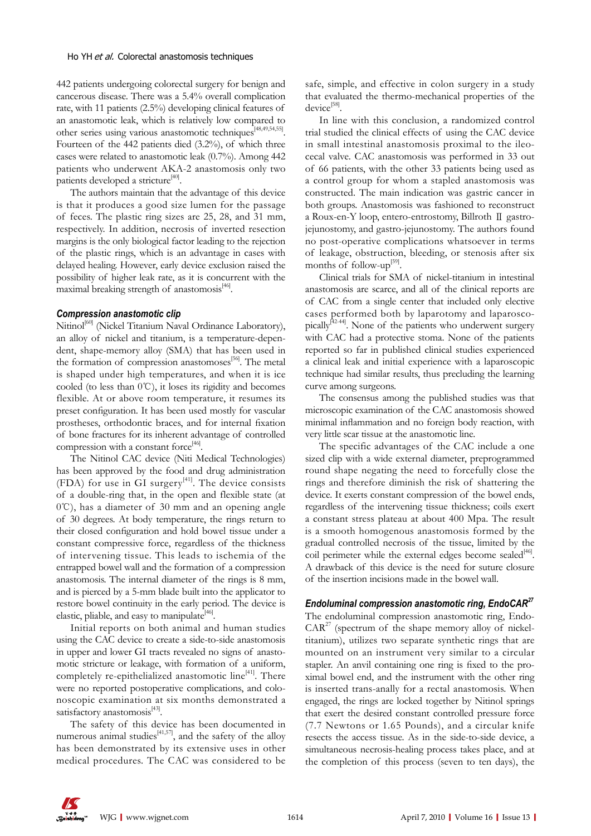442 patients undergoing colorectal surgery for benign and cancerous disease. There was a 5.4% overall complication rate, with 11 patients (2.5%) developing clinical features of an anastomotic leak, which is relatively low compared to other series using various anastomotic techniques[48,49,54,55]. Fourteen of the 442 patients died (3.2%), of which three cases were related to anastomotic leak (0.7%). Among 442 patients who underwent AKA-2 anastomosis only two patients developed a stricture<sup>[40]</sup>.

The authors maintain that the advantage of this device is that it produces a good size lumen for the passage of feces. The plastic ring sizes are 25, 28, and 31 mm, respectively. In addition, necrosis of inverted resection margins is the only biological factor leading to the rejection of the plastic rings, which is an advantage in cases with delayed healing. However, early device exclusion raised the possibility of higher leak rate, as it is concurrent with the maximal breaking strength of anastomosis $46$ .

#### *Compression anastomotic clip*

Nitinol<sup>[60]</sup> (Nickel Titanium Naval Ordinance Laboratory), an alloy of nickel and titanium, is a temperature-dependent, shape-memory alloy (SMA) that has been used in the formation of compression anastomoses<sup>[56]</sup>. The metal is shaped under high temperatures, and when it is ice cooled (to less than 0℃), it loses its rigidity and becomes flexible. At or above room temperature, it resumes its preset configuration. It has been used mostly for vascular prostheses, orthodontic braces, and for internal fixation of bone fractures for its inherent advantage of controlled compression with a constant force $46$ .

The Nitinol CAC device (Niti Medical Technologies) has been approved by the food and drug administration (FDA) for use in GI surgery $[41]$ . The device consists of a double-ring that, in the open and flexible state (at 0℃), has a diameter of 30 mm and an opening angle of 30 degrees. At body temperature, the rings return to their closed configuration and hold bowel tissue under a constant compressive force, regardless of the thickness of intervening tissue. This leads to ischemia of the entrapped bowel wall and the formation of a compression anastomosis. The internal diameter of the rings is 8 mm, and is pierced by a 5-mm blade built into the applicator to restore bowel continuity in the early period. The device is elastic, pliable, and easy to manipulate $^{[46]}$ .

Initial reports on both animal and human studies using the CAC device to create a side-to-side anastomosis in upper and lower GI tracts revealed no signs of anastomotic stricture or leakage, with formation of a uniform, completely re-epithelialized anastomotic line<sup>[41]</sup>. There were no reported postoperative complications, and colonoscopic examination at six months demonstrated a satisfactory anastomosis<sup>[43]</sup>.

The safety of this device has been documented in numerous animal studies<sup>[41,57]</sup>, and the safety of the alloy has been demonstrated by its extensive uses in other medical procedures. The CAC was considered to be

safe, simple, and effective in colon surgery in a study that evaluated the thermo-mechanical properties of the  $device<sup>[58]</sup>$ .

In line with this conclusion, a randomized control trial studied the clinical effects of using the CAC device in small intestinal anastomosis proximal to the ileocecal valve. CAC anastomosis was performed in 33 out of 66 patients, with the other 33 patients being used as a control group for whom a stapled anastomosis was constructed. The main indication was gastric cancer in both groups. Anastomosis was fashioned to reconstruct a Roux-en-Y loop, entero-entrostomy, Billroth Ⅱ gastrojejunostomy, and gastro-jejunostomy. The authors found no post-operative complications whatsoever in terms of leakage, obstruction, bleeding, or stenosis after six months of follow-up<sup>[59]</sup>.

Clinical trials for SMA of nickel-titanium in intestinal anastomosis are scarce, and all of the clinical reports are of CAC from a single center that included only elective cases performed both by laparotomy and laparoscopically<sup>[42-44]</sup>. None of the patients who underwent surgery with CAC had a protective stoma. None of the patients reported so far in published clinical studies experienced a clinical leak and initial experience with a laparoscopic technique had similar results, thus precluding the learning curve among surgeons.

The consensus among the published studies was that microscopic examination of the CAC anastomosis showed minimal inflammation and no foreign body reaction, with very little scar tissue at the anastomotic line.

The specific advantages of the CAC include a one sized clip with a wide external diameter, preprogrammed round shape negating the need to forcefully close the rings and therefore diminish the risk of shattering the device. It exerts constant compression of the bowel ends, regardless of the intervening tissue thickness; coils exert a constant stress plateau at about 400 Mpa. The result is a smooth homogenous anastomosis formed by the gradual controlled necrosis of the tissue, limited by the coil perimeter while the external edges become sealed<sup>[46]</sup>. A drawback of this device is the need for suture closure of the insertion incisions made in the bowel wall.

#### *Endoluminal compression anastomotic ring, EndoCAR27*

The endoluminal compression anastomotic ring, Endo- $CAR<sup>27</sup>$  (spectrum of the shape memory alloy of nickeltitanium), utilizes two separate synthetic rings that are mounted on an instrument very similar to a circular stapler. An anvil containing one ring is fixed to the proximal bowel end, and the instrument with the other ring is inserted trans-anally for a rectal anastomosis. When engaged, the rings are locked together by Nitinol springs that exert the desired constant controlled pressure force (7.7 Newtons or 1.65 Pounds), and a circular knife resects the access tissue. As in the side-to-side device, a simultaneous necrosis-healing process takes place, and at the completion of this process (seven to ten days), the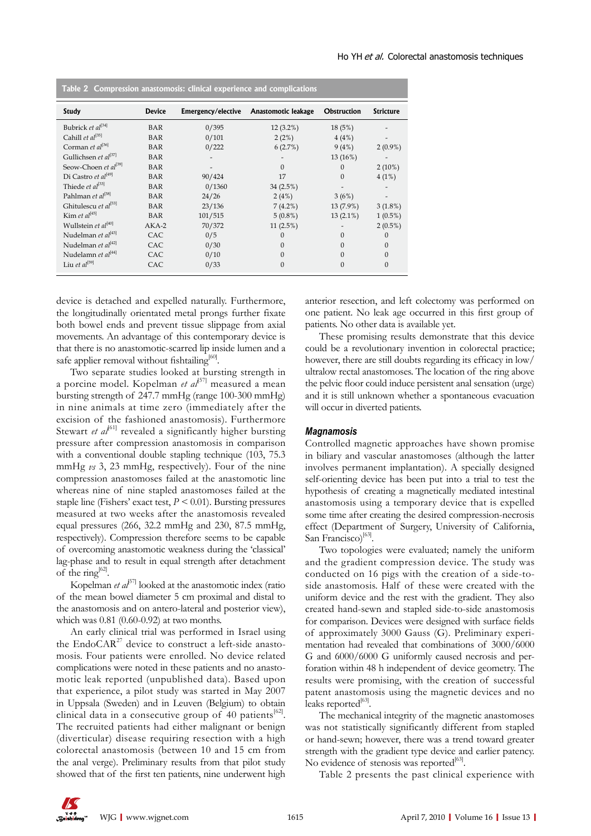| Table 2 Compression anastomosis: clinical experience and complications |               |                    |                     |                    |                  |  |  |
|------------------------------------------------------------------------|---------------|--------------------|---------------------|--------------------|------------------|--|--|
| <b>Study</b>                                                           | <b>Device</b> | Emergency/elective | Anastomotic leakage | <b>Obstruction</b> | <b>Stricture</b> |  |  |
| Bubrick et al <sup>[34]</sup>                                          | <b>BAR</b>    | 0/395              | $12(3.2\%)$         | 18(5%)             |                  |  |  |
| Cahill et $al^{[35]}$                                                  | <b>BAR</b>    | 0/101              | 2(2%)               | 4(4%)              |                  |  |  |
| Corman et al <sup>[36]</sup>                                           | <b>BAR</b>    | 0/222              | 6(2.7%)             | 9(4%)              | $2(0.9\%)$       |  |  |
| Gullichsen et $al^{[37]}$                                              | <b>BAR</b>    |                    |                     | 13(16%)            |                  |  |  |
| Seow-Choen et al <sup>[39]</sup>                                       | <b>BAR</b>    |                    | $\Omega$            | $\Omega$           | $2(10\%)$        |  |  |
| Di Castro et al <sup>[49]</sup>                                        | BAR           | 90/424             | 17                  | $\theta$           | 4(1%)            |  |  |
| Thiede <i>et al</i> <sup>[33]</sup>                                    | <b>BAR</b>    | 0/1360             | 34(2.5%)            |                    |                  |  |  |
| Pahlman et al <sup>[38]</sup>                                          | <b>BAR</b>    | 24/26              | 2(4%)               | 3(6%)              |                  |  |  |
| Ghitulescu et al <sup>[53]</sup>                                       | <b>BAR</b>    | 23/136             | $7(4.2\%)$          | $13(7.9\%)$        | 3(1.8%)          |  |  |
| Kim et al <sup>[45]</sup>                                              | BAR           | 101/515            | $5(0.8\%)$          | $13(2.1\%)$        | $1(0.5\%)$       |  |  |
| Wullstein et al <sup>[40]</sup>                                        | $AKA-2$       | 70/372             | 11(2.5%)            |                    | $2(0.5\%)$       |  |  |
| Nudelman et $al^{[43]}$                                                | CAC           | 0/5                | U                   | 0                  | $\Omega$         |  |  |
| Nudelman et $al^{[42]}$                                                | CAC           | 0/30               | $\Omega$            | 0                  | $\Omega$         |  |  |
| Nudelamn et al <sup>[44]</sup>                                         | CAC           | 0/10               | U                   | 0                  | $\Omega$         |  |  |
| Liu et al $^{[59]}$                                                    | CAC           | 0/33               | $\Omega$            | $\Omega$           | $\Omega$         |  |  |

device is detached and expelled naturally. Furthermore, the longitudinally orientated metal prongs further fixate both bowel ends and prevent tissue slippage from axial movements. An advantage of this contemporary device is that there is no anastomotic-scarred lip inside lumen and a safe applier removal without fishtailing<sup>[60]</sup>.

Two separate studies looked at bursting strength in a porcine model. Kopelman *et al*<sup>[57]</sup> measured a mean bursting strength of 247.7 mmHg (range 100-300 mmHg) in nine animals at time zero (immediately after the excision of the fashioned anastomosis). Furthermore Stewart *et al*<sup>[61]</sup> revealed a significantly higher bursting pressure after compression anastomosis in comparison with a conventional double stapling technique (103, 75.3 mmHg *vs* 3, 23 mmHg, respectively). Four of the nine compression anastomoses failed at the anastomotic line whereas nine of nine stapled anastomoses failed at the staple line (Fishers' exact test,  $P < 0.01$ ). Bursting pressures measured at two weeks after the anastomosis revealed equal pressures (266, 32.2 mmHg and 230, 87.5 mmHg, respectively). Compression therefore seems to be capable of overcoming anastomotic weakness during the 'classical' lag-phase and to result in equal strength after detachment of the ring<sup>[62]</sup>.

Kopelman *et al*<sup>[57]</sup> looked at the anastomotic index (ratio of the mean bowel diameter 5 cm proximal and distal to the anastomosis and on antero-lateral and posterior view), which was 0.81 (0.60-0.92) at two months.

An early clinical trial was performed in Israel using the EndoCAR<sup>27</sup> device to construct a left-side anastomosis. Four patients were enrolled. No device related complications were noted in these patients and no anastomotic leak reported (unpublished data). Based upon that experience, a pilot study was started in May 2007 in Uppsala (Sweden) and in Leuven (Belgium) to obtain clinical data in a consecutive group of 40 patients $[62]$ . The recruited patients had either malignant or benign (diverticular) disease requiring resection with a high colorectal anastomosis (between 10 and 15 cm from the anal verge). Preliminary results from that pilot study showed that of the first ten patients, nine underwent high

anterior resection, and left colectomy was performed on one patient. No leak age occurred in this first group of patients. No other data is available yet.

These promising results demonstrate that this device could be a revolutionary invention in colorectal practice; however, there are still doubts regarding its efficacy in low/ ultralow rectal anastomoses. The location of the ring above the pelvic floor could induce persistent anal sensation (urge) and it is still unknown whether a spontaneous evacuation will occur in diverted patients.

#### *Magnamosis*

Controlled magnetic approaches have shown promise in biliary and vascular anastomoses (although the latter involves permanent implantation). A specially designed self-orienting device has been put into a trial to test the hypothesis of creating a magnetically mediated intestinal anastomosis using a temporary device that is expelled some time after creating the desired compression-necrosis effect (Department of Surgery, University of California, San Francisco)<sup>[63]</sup>.

Two topologies were evaluated; namely the uniform and the gradient compression device. The study was conducted on 16 pigs with the creation of a side-toside anastomosis. Half of these were created with the uniform device and the rest with the gradient. They also created hand-sewn and stapled side-to-side anastomosis for comparison. Devices were designed with surface fields of approximately 3000 Gauss (G). Preliminary experimentation had revealed that combinations of 3000/6000 G and 6000/6000 G uniformly caused necrosis and perforation within 48 h independent of device geometry. The results were promising, with the creation of successful patent anastomosis using the magnetic devices and no leaks reported $[63]$ .

The mechanical integrity of the magnetic anastomoses was not statistically significantly different from stapled or hand-sewn; however, there was a trend toward greater strength with the gradient type device and earlier patency. No evidence of stenosis was reported<sup>[63]</sup>.

Table 2 presents the past clinical experience with

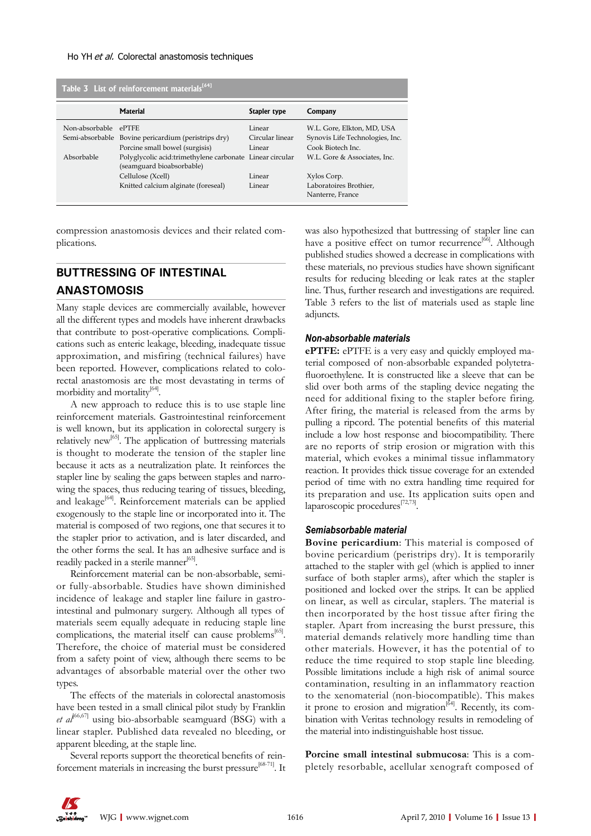| Table 3 List of reinforcement materials <sup>[64]</sup> |                                                                                                                                                   |                                     |                                                                                           |  |  |  |  |  |
|---------------------------------------------------------|---------------------------------------------------------------------------------------------------------------------------------------------------|-------------------------------------|-------------------------------------------------------------------------------------------|--|--|--|--|--|
|                                                         | Material                                                                                                                                          | Stapler type                        | Company                                                                                   |  |  |  |  |  |
| Non-absorbable                                          | <b>PTFE</b><br>Semi-absorbable Bovine pericardium (peristrips dry)<br>Porcine small bowel (surgisis)                                              | Linear<br>Circular linear<br>Linear | W.L. Gore, Elkton, MD, USA<br>Synovis Life Technologies, Inc.<br>Cook Biotech Inc.        |  |  |  |  |  |
| Absorbable                                              | Polyglycolic acid:trimethylene carbonate Linear circular<br>(seamguard bioabsorbable)<br>Cellulose (Xcell)<br>Knitted calcium alginate (foreseal) | Linear<br>Linear                    | W.L. Gore & Associates, Inc.<br>Xylos Corp.<br>Laboratoires Brothier,<br>Nanterre, France |  |  |  |  |  |

compression anastomosis devices and their related complications.

# **BUTTRESSING OF INTESTINAL ANASTOMOSIS**

Many staple devices are commercially available, however all the different types and models have inherent drawbacks that contribute to post-operative complications. Complications such as enteric leakage, bleeding, inadequate tissue approximation, and misfiring (technical failures) have been reported. However, complications related to colorectal anastomosis are the most devastating in terms of morbidity and mortality<sup>[64]</sup>.

A new approach to reduce this is to use staple line reinforcement materials. Gastrointestinal reinforcement is well known, but its application in colorectal surgery is relatively new<sup>[65]</sup>. The application of buttressing materials is thought to moderate the tension of the stapler line because it acts as a neutralization plate. It reinforces the stapler line by sealing the gaps between staples and narrowing the spaces, thus reducing tearing of tissues, bleeding, and leakage<sup>[64]</sup>. Reinforcement materials can be applied exogenously to the staple line or incorporated into it. The material is composed of two regions, one that secures it to the stapler prior to activation, and is later discarded, and the other forms the seal. It has an adhesive surface and is readily packed in a sterile manner<sup>[65]</sup>.

Reinforcement material can be non-absorbable, semior fully-absorbable. Studies have shown diminished incidence of leakage and stapler line failure in gastrointestinal and pulmonary surgery. Although all types of materials seem equally adequate in reducing staple line complications, the material itself can cause problems<sup>[65]</sup>. Therefore, the choice of material must be considered from a safety point of view, although there seems to be advantages of absorbable material over the other two types.

The effects of the materials in colorectal anastomosis have been tested in a small clinical pilot study by Franklin et al<sup>[66,67]</sup> using bio-absorbable seamguard (BSG) with a linear stapler. Published data revealed no bleeding, or apparent bleeding, at the staple line.

Several reports support the theoretical benefits of reinforcement materials in increasing the burst pressure<sup>[68-71]</sup>. It was also hypothesized that buttressing of stapler line can have a positive effect on tumor recurrence<sup>[66]</sup>. Although published studies showed a decrease in complications with these materials, no previous studies have shown significant results for reducing bleeding or leak rates at the stapler line. Thus, further research and investigations are required. Table 3 refers to the list of materials used as staple line adjuncts.

#### *Non-absorbable materials*

**ePTFE:** ePTFE is a very easy and quickly employed material composed of non-absorbable expanded polytetrafluoroethylene. It is constructed like a sleeve that can be slid over both arms of the stapling device negating the need for additional fixing to the stapler before firing. After firing, the material is released from the arms by pulling a ripcord. The potential benefits of this material include a low host response and biocompatibility. There are no reports of strip erosion or migration with this material, which evokes a minimal tissue inflammatory reaction. It provides thick tissue coverage for an extended period of time with no extra handling time required for its preparation and use. Its application suits open and laparoscopic procedures<sup>[72,73]</sup>.

#### *Semiabsorbable material*

**Bovine pericardium**: This material is composed of bovine pericardium (peristrips dry). It is temporarily attached to the stapler with gel (which is applied to inner surface of both stapler arms), after which the stapler is positioned and locked over the strips. It can be applied on linear, as well as circular, staplers. The material is then incorporated by the host tissue after firing the stapler. Apart from increasing the burst pressure, this material demands relatively more handling time than other materials. However, it has the potential of to reduce the time required to stop staple line bleeding. Possible limitations include a high risk of animal source contamination, resulting in an inflammatory reaction to the xenomaterial (non-biocompatible). This makes it prone to erosion and migration $|^{64}$ . Recently, its combination with Veritas technology results in remodeling of the material into indistinguishable host tissue.

**Porcine small intestinal submucosa**: This is a completely resorbable, acellular xenograft composed of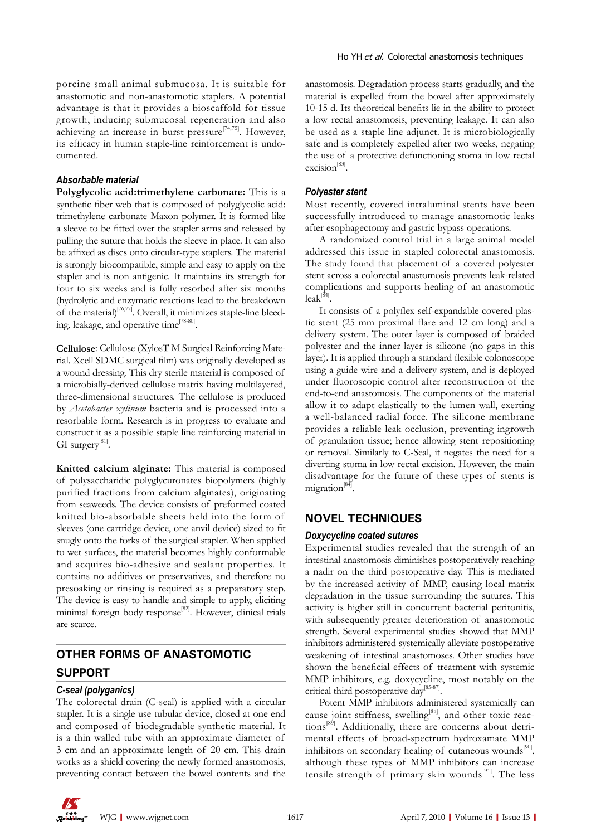porcine small animal submucosa. It is suitable for anastomotic and non-anastomotic staplers. A potential advantage is that it provides a bioscaffold for tissue growth, inducing submucosal regeneration and also achieving an increase in burst pressure<sup>[74,75]</sup>. However, its efficacy in human staple-line reinforcement is undocumented.

#### *Absorbable material*

**Polyglycolic acid:trimethylene carbonate:** This is a synthetic fiber web that is composed of polyglycolic acid: trimethylene carbonate Maxon polymer. It is formed like a sleeve to be fitted over the stapler arms and released by pulling the suture that holds the sleeve in place. It can also be affixed as discs onto circular-type staplers. The material is strongly biocompatible, simple and easy to apply on the stapler and is non antigenic. It maintains its strength for four to six weeks and is fully resorbed after six months (hydrolytic and enzymatic reactions lead to the breakdown of the material $\int_{[76,77]}$ . Overall, it minimizes staple-line bleeding, leakage, and operative time<sup>[78-80]</sup>.

**Cellulose**: Cellulose (XylosT M Surgical Reinforcing Material. Xcell SDMC surgical film) was originally developed as a wound dressing. This dry sterile material is composed of a microbially-derived cellulose matrix having multilayered, three-dimensional structures. The cellulose is produced by *Acetobacter xylinum* bacteria and is processed into a resorbable form. Research is in progress to evaluate and construct it as a possible staple line reinforcing material in GI surgery<sup>[81]</sup>.

**Knitted calcium alginate:** This material is composed of polysaccharidic polyglycuronates biopolymers (highly purified fractions from calcium alginates), originating from seaweeds. The device consists of preformed coated knitted bio-absorbable sheets held into the form of sleeves (one cartridge device, one anvil device) sized to fit snugly onto the forks of the surgical stapler. When applied to wet surfaces, the material becomes highly conformable and acquires bio-adhesive and sealant properties. It contains no additives or preservatives, and therefore no presoaking or rinsing is required as a preparatory step. The device is easy to handle and simple to apply, eliciting minimal foreign body response[82]. However, clinical trials are scarce.

# **OTHER FORMS OF ANASTOMOTIC SUPPORT**

#### *C-seal (polyganics)*

The colorectal drain (C-seal) is applied with a circular stapler. It is a single use tubular device, closed at one end and composed of biodegradable synthetic material. It is a thin walled tube with an approximate diameter of 3 cm and an approximate length of 20 cm. This drain works as a shield covering the newly formed anastomosis, preventing contact between the bowel contents and the anastomosis. Degradation process starts gradually, and the material is expelled from the bowel after approximately 10-15 d. Its theoretical benefits lie in the ability to protect a low rectal anastomosis, preventing leakage. It can also be used as a staple line adjunct. It is microbiologically safe and is completely expelled after two weeks, negating the use of a protective defunctioning stoma in low rectal excision<sup>[83]</sup>.

#### *Polyester stent*

Most recently, covered intraluminal stents have been successfully introduced to manage anastomotic leaks after esophagectomy and gastric bypass operations.

A randomized control trial in a large animal model addressed this issue in stapled colorectal anastomosis. The study found that placement of a covered polyester stent across a colorectal anastomosis prevents leak-related complications and supports healing of an anastomotic  $leak^{[84]}$ .

It consists of a polyflex self-expandable covered plastic stent (25 mm proximal flare and 12 cm long) and a delivery system. The outer layer is composed of braided polyester and the inner layer is silicone (no gaps in this layer). It is applied through a standard flexible colonoscope using a guide wire and a delivery system, and is deployed under fluoroscopic control after reconstruction of the end-to-end anastomosis. The components of the material allow it to adapt elastically to the lumen wall, exerting a well-balanced radial force. The silicone membrane provides a reliable leak occlusion, preventing ingrowth of granulation tissue; hence allowing stent repositioning or removal. Similarly to C-Seal, it negates the need for a diverting stoma in low rectal excision. However, the main disadvantage for the future of these types of stents is migration<sup>[84]</sup>.

#### **NOVEL TECHNIQUES**

#### *Doxycycline coated sutures*

Experimental studies revealed that the strength of an intestinal anastomosis diminishes postoperatively reaching a nadir on the third postoperative day. This is mediated by the increased activity of MMP, causing local matrix degradation in the tissue surrounding the sutures. This activity is higher still in concurrent bacterial peritonitis, with subsequently greater deterioration of anastomotic strength. Several experimental studies showed that MMP inhibitors administered systemically alleviate postoperative weakening of intestinal anastomoses. Other studies have shown the beneficial effects of treatment with systemic MMP inhibitors, e.g. doxycycline, most notably on the critical third postoperative day<sup>[85-87]</sup>.

Potent MMP inhibitors administered systemically can cause joint stiffness, swelling<sup>[88]</sup>, and other toxic reactions<sup>[89]</sup>. Additionally, there are concerns about detrimental effects of broad-spectrum hydroxamate MMP inhibitors on secondary healing of cutaneous wounds $[90]$ , although these types of MMP inhibitors can increase tensile strength of primary skin wounds $[91]$ . The less

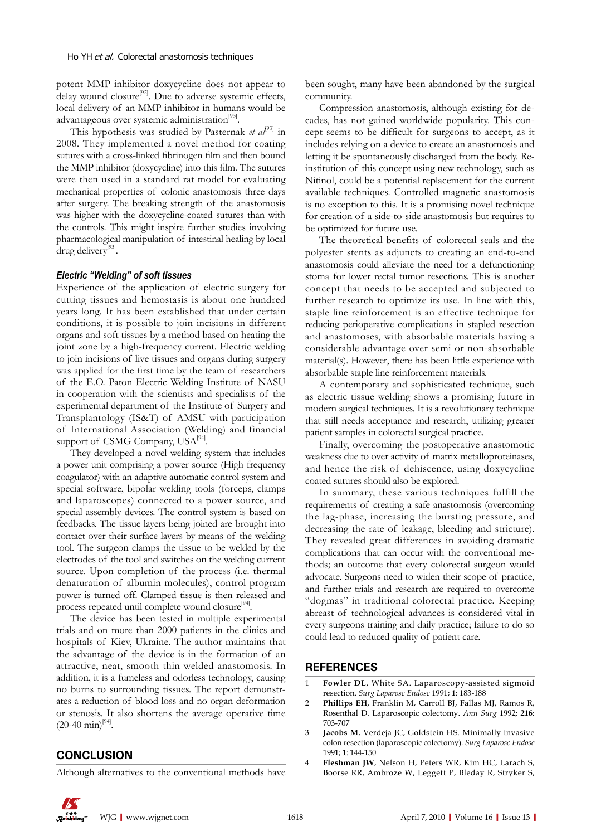potent MMP inhibitor doxycycline does not appear to delay wound closure<sup>[92]</sup>. Due to adverse systemic effects, local delivery of an MMP inhibitor in humans would be advantageous over systemic administration<sup>[93]</sup>.

This hypothesis was studied by Pasternak *et al*<sup>[93]</sup> in 2008. They implemented a novel method for coating sutures with a cross-linked fibrinogen film and then bound the MMP inhibitor (doxycycline) into this film. The sutures were then used in a standard rat model for evaluating mechanical properties of colonic anastomosis three days after surgery. The breaking strength of the anastomosis was higher with the doxycycline-coated sutures than with the controls. This might inspire further studies involving pharmacological manipulation of intestinal healing by local drug delivery<sup>[93]</sup>.

### *Electric "Welding" of soft tissues*

Experience of the application of electric surgery for cutting tissues and hemostasis is about one hundred years long. It has been established that under certain conditions, it is possible to join incisions in different organs and soft tissues by a method based on heating the joint zone by a high-frequency current. Electric welding to join incisions of live tissues and organs during surgery was applied for the first time by the team of researchers of the E.O. Paton Electric Welding Institute of NASU in cooperation with the scientists and specialists of the experimental department of the Institute of Surgery and Transplantology (IS&T) of AMSU with participation of International Association (Welding) and financial support of CSMG Company, USA<sup>[94]</sup>.

They developed a novel welding system that includes a power unit comprising a power source (High frequency coagulator) with an adaptive automatic control system and special software, bipolar welding tools (forceps, clamps and laparoscopes) connected to a power source, and special assembly devices. The control system is based on feedbacks. The tissue layers being joined are brought into contact over their surface layers by means of the welding tool. The surgeon clamps the tissue to be welded by the electrodes of the tool and switches on the welding current source. Upon completion of the process (i.e. thermal denaturation of albumin molecules), control program power is turned off. Clamped tissue is then released and process repeated until complete wound closure<sup>[94]</sup>.

The device has been tested in multiple experimental trials and on more than 2000 patients in the clinics and hospitals of Kiev, Ukraine. The author maintains that the advantage of the device is in the formation of an attractive, neat, smooth thin welded anastomosis. In addition, it is a fumeless and odorless technology, causing no burns to surrounding tissues. The report demonstrates a reduction of blood loss and no organ deformation or stenosis. It also shortens the average operative time  $(20-40 \text{ min})^{[94]}$ .

## **CONCLUSION**

Although alternatives to the conventional methods have

been sought, many have been abandoned by the surgical community.

Compression anastomosis, although existing for decades, has not gained worldwide popularity. This concept seems to be difficult for surgeons to accept, as it includes relying on a device to create an anastomosis and letting it be spontaneously discharged from the body. Reinstitution of this concept using new technology, such as Nitinol, could be a potential replacement for the current available techniques. Controlled magnetic anastomosis is no exception to this. It is a promising novel technique for creation of a side-to-side anastomosis but requires to be optimized for future use.

The theoretical benefits of colorectal seals and the polyester stents as adjuncts to creating an end-to-end anastomosis could alleviate the need for a defunctioning stoma for lower rectal tumor resections. This is another concept that needs to be accepted and subjected to further research to optimize its use. In line with this, staple line reinforcement is an effective technique for reducing perioperative complications in stapled resection and anastomoses, with absorbable materials having a considerable advantage over semi or non-absorbable material(s). However, there has been little experience with absorbable staple line reinforcement materials.

A contemporary and sophisticated technique, such as electric tissue welding shows a promising future in modern surgical techniques. It is a revolutionary technique that still needs acceptance and research, utilizing greater patient samples in colorectal surgical practice.

Finally, overcoming the postoperative anastomotic weakness due to over activity of matrix metalloproteinases, and hence the risk of dehiscence, using doxycycline coated sutures should also be explored.

In summary, these various techniques fulfill the requirements of creating a safe anastomosis (overcoming the lag-phase, increasing the bursting pressure, and decreasing the rate of leakage, bleeding and stricture). They revealed great differences in avoiding dramatic complications that can occur with the conventional methods; an outcome that every colorectal surgeon would advocate. Surgeons need to widen their scope of practice, and further trials and research are required to overcome "dogmas" in traditional colorectal practice. Keeping abreast of technological advances is considered vital in every surgeons training and daily practice; failure to do so could lead to reduced quality of patient care.

### **REFERENCES**

- 1 **Fowler DL**, White SA. Laparoscopy-assisted sigmoid resection. *Surg Laparosc Endosc* 1991; **1**: 183-188
- 2 **Phillips EH**, Franklin M, Carroll BJ, Fallas MJ, Ramos R, Rosenthal D. Laparoscopic colectomy. *Ann Surg* 1992; **216**: 703-707
- 3 **Jacobs M**, Verdeja JC, Goldstein HS. Minimally invasive colon resection (laparoscopic colectomy). *Surg Laparosc Endosc* 1991; **1**: 144-150
- 4 **Fleshman JW**, Nelson H, Peters WR, Kim HC, Larach S, Boorse RR, Ambroze W, Leggett P, Bleday R, Stryker S,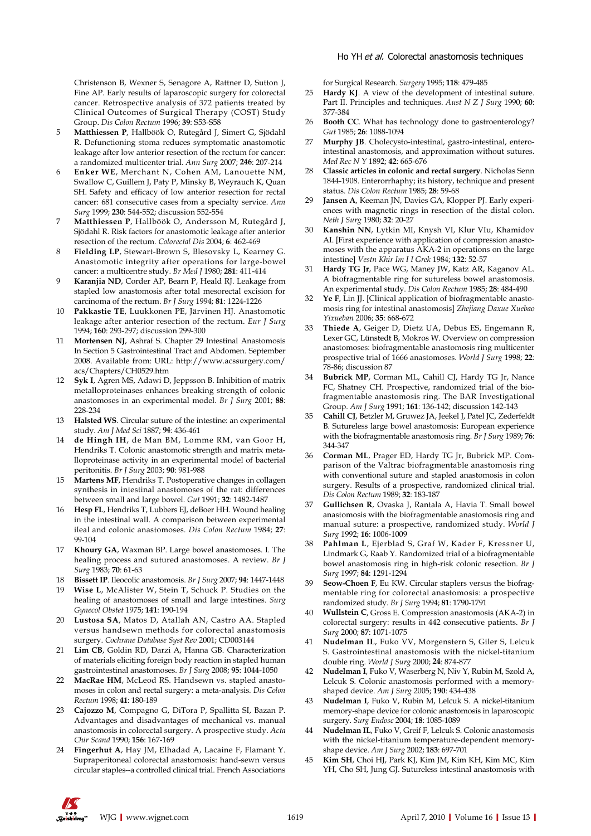Christenson B, Wexner S, Senagore A, Rattner D, Sutton J, Fine AP. Early results of laparoscopic surgery for colorectal cancer. Retrospective analysis of 372 patients treated by Clinical Outcomes of Surgical Therapy (COST) Study Group. *Dis Colon Rectum* 1996; **39**: S53-S58

- 5 **Matthiessen P**, Hallböök O, Rutegård J, Simert G, Sjödahl R. Defunctioning stoma reduces symptomatic anastomotic leakage after low anterior resection of the rectum for cancer: a randomized multicenter trial. *Ann Surg* 2007; **246**: 207-214
- 6 **Enker WE**, Merchant N, Cohen AM, Lanouette NM, Swallow C, Guillem J, Paty P, Minsky B, Weyrauch K, Quan SH. Safety and efficacy of low anterior resection for rectal cancer: 681 consecutive cases from a specialty service. *Ann Surg* 1999; **230**: 544-552; discussion 552-554
- 7 **Matthiessen P**, Hallböök O, Andersson M, Rutegård J, Sjödahl R. Risk factors for anastomotic leakage after anterior resection of the rectum. *Colorectal Dis* 2004; **6**: 462-469
- 8 **Fielding LP**, Stewart-Brown S, Blesovsky L, Kearney G. Anastomotic integrity after operations for large-bowel cancer: a multicentre study. *Br Med J* 1980; **281**: 411-414
- 9 **Karanjia ND**, Corder AP, Bearn P, Heald RJ. Leakage from stapled low anastomosis after total mesorectal excision for carcinoma of the rectum. *Br J Surg* 1994; **81**: 1224-1226
- 10 **Pakkastie TE**, Luukkonen PE, Järvinen HJ. Anastomotic leakage after anterior resection of the rectum. *Eur J Surg* 1994; **160**: 293-297; discussion 299-300
- 11 **Mortensen NJ**, Ashraf S. Chapter 29 Intestinal Anastomosis In Section 5 Gastrointestinal Tract and Abdomen. September 2008. Available from: URL: http://www.acssurgery.com/ acs/Chapters/CH0529.htm
- 12 **Syk I**, Agren MS, Adawi D, Jeppsson B. Inhibition of matrix metalloproteinases enhances breaking strength of colonic anastomoses in an experimental model. *Br J Surg* 2001; **88**: 228-234
- 13 **Halsted WS**. Circular suture of the intestine: an experimental study. *Am J Med Sci* 1887; **94**: 436-461
- 14 **de Hingh IH**, de Man BM, Lomme RM, van Goor H, Hendriks T. Colonic anastomotic strength and matrix metalloproteinase activity in an experimental model of bacterial peritonitis. *Br J Surg* 2003; **90**: 981-988
- 15 **Martens MF**, Hendriks T. Postoperative changes in collagen synthesis in intestinal anastomoses of the rat: differences between small and large bowel. *Gut* 1991; **32**: 1482-1487
- 16 **Hesp FL**, Hendriks T, Lubbers EJ, deBoer HH. Wound healing in the intestinal wall. A comparison between experimental ileal and colonic anastomoses. *Dis Colon Rectum* 1984; **27**: 99-104
- 17 **Khoury GA**, Waxman BP. Large bowel anastomoses. I. The healing process and sutured anastomoses. A review. *Br J Surg* 1983; **70**: 61-63
- 18 **Bissett IP**. Ileocolic anastomosis. *Br J Surg* 2007; **94**: 1447-1448
- 19 **Wise L**, McAlister W, Stein T, Schuck P. Studies on the healing of anastomoses of small and large intestines. *Surg Gynecol Obstet* 1975; **141**: 190-194
- 20 **Lustosa SA**, Matos D, Atallah AN, Castro AA. Stapled versus handsewn methods for colorectal anastomosis surgery. *Cochrane Database Syst Rev* 2001; CD003144
- 21 **Lim CB**, Goldin RD, Darzi A, Hanna GB. Characterization of materials eliciting foreign body reaction in stapled human gastrointestinal anastomoses. *Br J Surg* 2008; **95**: 1044-1050
- 22 **MacRae HM**, McLeod RS. Handsewn vs. stapled anastomoses in colon and rectal surgery: a meta-analysis. *Dis Colon Rectum* 1998; **41**: 180-189
- 23 **Cajozzo M**, Compagno G, DiTora P, Spallitta SI, Bazan P. Advantages and disadvantages of mechanical vs. manual anastomosis in colorectal surgery. A prospective study. *Acta Chir Scand* 1990; **156**: 167-169
- 24 **Fingerhut A**, Hay JM, Elhadad A, Lacaine F, Flamant Y. Supraperitoneal colorectal anastomosis: hand-sewn versus circular staples--a controlled clinical trial. French Associations

for Surgical Research. *Surgery* 1995; **118**: 479-485

- 25 **Hardy KJ**. A view of the development of intestinal suture. Part II. Principles and techniques. *Aust N Z J Surg* 1990; **60**: 377-384
- 26 **Booth CC**. What has technology done to gastroenterology? *Gut* 1985; **26**: 1088-1094
- 27 **Murphy JB**. Cholecysto-intestinal, gastro-intestinal, enterointestinal anastomosis, and approximation without sutures. *Med Rec N Y* 1892; **42**: 665-676
- 28 **Classic articles in colonic and rectal surgery**. Nicholas Senn 1844-1908. Enterorrhaphy; its history, technique and present status. *Dis Colon Rectum* 1985; **28**: 59-68
- 29 **Jansen A**, Keeman JN, Davies GA, Klopper PJ. Early experiences with magnetic rings in resection of the distal colon. *Neth J Surg* 1980; **32**: 20-27
- 30 **Kanshin NN**, Lytkin MI, Knysh VI, Klur VIu, Khamidov AI. [First experience with application of compression anastomoses with the apparatus AKA-2 in operations on the large intestine] *Vestn Khir Im I I Grek* 1984; **132**: 52-57
- 31 **Hardy TG Jr**, Pace WG, Maney JW, Katz AR, Kaganov AL. A biofragmentable ring for sutureless bowel anastomosis. An experimental study. *Dis Colon Rectum* 1985; **28**: 484-490
- 32 **Ye F**, Lin JJ. [Clinical application of biofragmentable anastomosis ring for intestinal anastomosis] *Zhejiang Daxue Xuebao Yixueban* 2006; **35**: 668-672
- 33 **Thiede A**, Geiger D, Dietz UA, Debus ES, Engemann R, Lexer GC, Lünstedt B, Mokros W. Overview on compression anastomoses: biofragmentable anastomosis ring multicenter prospective trial of 1666 anastomoses. *World J Surg* 1998; **22**: 78-86; discussion 87
- 34 **Bubrick MP**, Corman ML, Cahill CJ, Hardy TG Jr, Nance FC, Shatney CH. Prospective, randomized trial of the biofragmentable anastomosis ring. The BAR Investigational Group. *Am J Surg* 1991; **161**: 136-142; discussion 142-143
- 35 **Cahill CJ**, Betzler M, Gruwez JA, Jeekel J, Patel JC, Zederfeldt B. Sutureless large bowel anastomosis: European experience with the biofragmentable anastomosis ring. *Br J Surg* 1989; **76**: 344-347
- 36 **Corman ML**, Prager ED, Hardy TG Jr, Bubrick MP. Comparison of the Valtrac biofragmentable anastomosis ring with conventional suture and stapled anastomosis in colon surgery. Results of a prospective, randomized clinical trial. *Dis Colon Rectum* 1989; **32**: 183-187
- 37 **Gullichsen R**, Ovaska J, Rantala A, Havia T. Small bowel anastomosis with the biofragmentable anastomosis ring and manual suture: a prospective, randomized study. *World J Surg* 1992; **16**: 1006-1009
- 38 **Pahlman L**, Ejerblad S, Graf W, Kader F, Kressner U, Lindmark G, Raab Y. Randomized trial of a biofragmentable bowel anastomosis ring in high-risk colonic resection. *Br J Surg* 1997; **84**: 1291-1294
- 39 **Seow-Choen F**, Eu KW. Circular staplers versus the biofragmentable ring for colorectal anastomosis: a prospective randomized study. *Br J Surg* 1994; **81**: 1790-1791
- 40 **Wullstein C**, Gross E. Compression anastomosis (AKA-2) in colorectal surgery: results in 442 consecutive patients. *Br J Surg* 2000; **87**: 1071-1075
- 41 **Nudelman IL**, Fuko VV, Morgenstern S, Giler S, Lelcuk S. Gastrointestinal anastomosis with the nickel-titanium double ring. *World J Surg* 2000; **24**: 874-877
- 42 **Nudelman I**, Fuko V, Waserberg N, Niv Y, Rubin M, Szold A, Lelcuk S. Colonic anastomosis performed with a memoryshaped device. *Am J Surg* 2005; **190**: 434-438
- 43 **Nudelman I**, Fuko V, Rubin M, Lelcuk S. A nickel-titanium memory-shape device for colonic anastomosis in laparoscopic surgery. *Surg Endosc* 2004; **18**: 1085-1089
- 44 **Nudelman IL**, Fuko V, Greif F, Lelcuk S. Colonic anastomosis with the nickel-titanium temperature-dependent memoryshape device. *Am J Surg* 2002; **183**: 697-701
- 45 **Kim SH**, Choi HJ, Park KJ, Kim JM, Kim KH, Kim MC, Kim YH, Cho SH, Jung GJ. Sutureless intestinal anastomosis with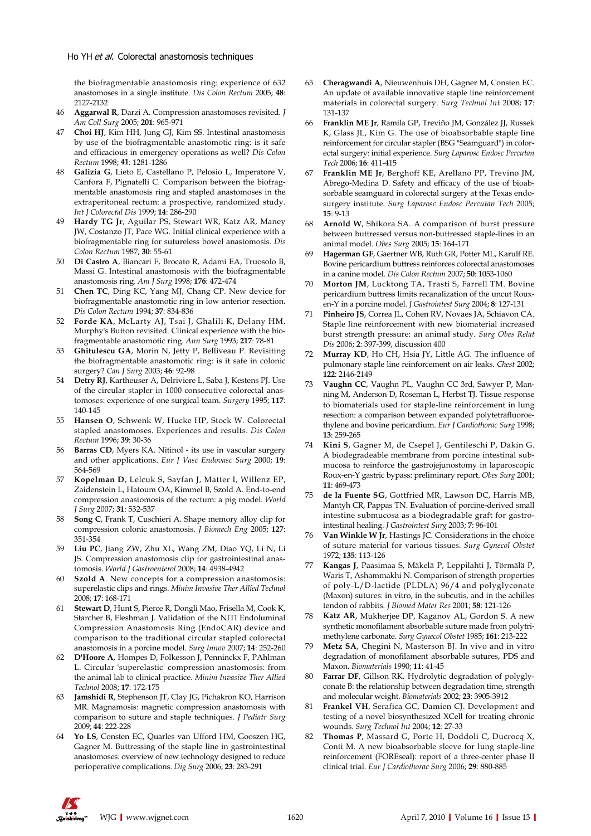the biofragmentable anastomosis ring: experience of 632 anastomoses in a single institute. *Dis Colon Rectum* 2005; **48**: 2127-2132

- 46 **Aggarwal R**, Darzi A. Compression anastomoses revisited. *J Am Coll Surg* 2005; **201**: 965-971
- 47 **Choi HJ**, Kim HH, Jung GJ, Kim SS. Intestinal anastomosis by use of the biofragmentable anastomotic ring: is it safe and efficacious in emergency operations as well? *Dis Colon Rectum* 1998; **41**: 1281-1286
- 48 **Galizia G**, Lieto E, Castellano P, Pelosio L, Imperatore V, Canfora F, Pignatelli C. Comparison between the biofragmentable anastomosis ring and stapled anastomoses in the extraperitoneal rectum: a prospective, randomized study. *Int J Colorectal Dis* 1999; **14**: 286-290
- 49 **Hardy TG Jr**, Aguilar PS, Stewart WR, Katz AR, Maney JW, Costanzo JT, Pace WG. Initial clinical experience with a biofragmentable ring for sutureless bowel anastomosis. *Dis Colon Rectum* 1987; **30**: 55-61
- 50 **Di Castro A**, Biancari F, Brocato R, Adami EA, Truosolo B, Massi G. Intestinal anastomosis with the biofragmentable anastomosis ring. *Am J Surg* 1998; **176**: 472-474
- 51 **Chen TC**, Ding KC, Yang MJ, Chang CP. New device for biofragmentable anastomotic ring in low anterior resection. *Dis Colon Rectum* 1994; **37**: 834-836
- 52 **Forde KA**, McLarty AJ, Tsai J, Ghalili K, Delany HM. Murphy's Button revisited. Clinical experience with the biofragmentable anastomotic ring. *Ann Surg* 1993; **217**: 78-81
- 53 **Ghitulescu GA**, Morin N, Jetty P, Belliveau P. Revisiting the biofragmentable anastomotic ring: is it safe in colonic surgery? *Can J Surg* 2003; **46**: 92-98
- 54 **Detry RJ**, Kartheuser A, Delriviere L, Saba J, Kestens PJ. Use of the circular stapler in 1000 consecutive colorectal anastomoses: experience of one surgical team. *Surgery* 1995; **117**: 140-145
- 55 **Hansen O**, Schwenk W, Hucke HP, Stock W. Colorectal stapled anastomoses. Experiences and results. *Dis Colon Rectum* 1996; **39**: 30-36
- 56 **Barras CD**, Myers KA. Nitinol its use in vascular surgery and other applications. *Eur J Vasc Endovasc Surg* 2000; **19**: 564-569
- 57 **Kopelman D**, Lelcuk S, Sayfan J, Matter I, Willenz EP, Zaidenstein L, Hatoum OA, Kimmel B, Szold A. End-to-end compression anastomosis of the rectum: a pig model. *World J Surg* 2007; **31**: 532-537
- 58 **Song C**, Frank T, Cuschieri A. Shape memory alloy clip for compression colonic anastomosis. *J Biomech Eng* 2005; **127**: 351-354
- 59 **Liu PC**, Jiang ZW, Zhu XL, Wang ZM, Diao YQ, Li N, Li JS. Compression anastomosis clip for gastrointestinal anastomosis. *World J Gastroenterol* 2008; **14**: 4938-4942
- 60 **Szold A**. New concepts for a compression anastomosis: superelastic clips and rings. *Minim Invasive Ther Allied Technol* 2008; **17**: 168-171
- 61 **Stewart D**, Hunt S, Pierce R, Dongli Mao, Frisella M, Cook K, Starcher B, Fleshman J. Validation of the NITI Endoluminal Compression Anastomosis Ring (EndoCAR) device and comparison to the traditional circular stapled colorectal anastomosis in a porcine model. *Surg Innov* 2007; **14**: 252-260
- 62 **D'Hoore A**, Hompes D, Folkesson J, Penninckx F, PAhlman L. Circular 'superelastic' compression anastomosis: from the animal lab to clinical practice. *Minim Invasive Ther Allied Technol* 2008; **17**: 172-175
- 63 **Jamshidi R**, Stephenson JT, Clay JG, Pichakron KO, Harrison MR. Magnamosis: magnetic compression anastomosis with comparison to suture and staple techniques. *J Pediatr Surg* 2009; **44**: 222-228
- 64 **Yo LS**, Consten EC, Quarles van Ufford HM, Gooszen HG, Gagner M. Buttressing of the staple line in gastrointestinal anastomoses: overview of new technology designed to reduce perioperative complications. *Dig Surg* 2006; **23**: 283-291
- 65 **Cheragwandi A**, Nieuwenhuis DH, Gagner M, Consten EC. An update of available innovative staple line reinforcement materials in colorectal surgery. *Surg Technol Int* 2008; **17**: 131-137
- 66 **Franklin ME Jr**, Ramila GP, Treviño JM, González JJ, Russek K, Glass JL, Kim G. The use of bioabsorbable staple line reinforcement for circular stapler (BSG "Seamguard") in colorectal surgery: initial experience. *Surg Laparosc Endosc Percutan Tech* 2006; **16**: 411-415
- 67 **Franklin ME Jr**, Berghoff KE, Arellano PP, Trevino JM, Abrego-Medina D. Safety and efficacy of the use of bioabsorbable seamguard in colorectal surgery at the Texas endosurgery institute. *Surg Laparosc Endosc Percutan Tech* 2005; **15**: 9-13
- 68 **Arnold W**, Shikora SA. A comparison of burst pressure between buttressed versus non-buttressed staple-lines in an animal model. *Obes Surg* 2005; **15**: 164-171
- 69 **Hagerman GF**, Gaertner WB, Ruth GR, Potter ML, Karulf RE. Bovine pericardium buttress reinforces colorectal anastomoses in a canine model. *Dis Colon Rectum* 2007; **50**: 1053-1060
- 70 **Morton JM**, Lucktong TA, Trasti S, Farrell TM. Bovine pericardium buttress limits recanalization of the uncut Rouxen-Y in a porcine model. *J Gastrointest Surg* 2004; **8**: 127-131
- 71 **Pinheiro JS**, Correa JL, Cohen RV, Novaes JA, Schiavon CA. Staple line reinforcement with new biomaterial increased burst strength pressure: an animal study. *Surg Obes Relat Dis* 2006; **2**: 397-399, discussion 400
- 72 **Murray KD**, Ho CH, Hsia JY, Little AG. The influence of pulmonary staple line reinforcement on air leaks. *Chest* 2002; **122**: 2146-2149
- 73 **Vaughn CC**, Vaughn PL, Vaughn CC 3rd, Sawyer P, Manning M, Anderson D, Roseman L, Herbst TJ. Tissue response to biomaterials used for staple-line reinforcement in lung resection: a comparison between expanded polytetrafluoroethylene and bovine pericardium. *Eur J Cardiothorac Surg* 1998; **13**: 259-265
- 74 **Kini S**, Gagner M, de Csepel J, Gentileschi P, Dakin G. A biodegradeable membrane from porcine intestinal submucosa to reinforce the gastrojejunostomy in laparoscopic Roux-en-Y gastric bypass: preliminary report. *Obes Surg* 2001; **11**: 469-473
- 75 **de la Fuente SG**, Gottfried MR, Lawson DC, Harris MB, Mantyh CR, Pappas TN. Evaluation of porcine-derived small intestine submucosa as a biodegradable graft for gastrointestinal healing. *J Gastrointest Surg* 2003; **7**: 96-101
- 76 **Van Winkle W Jr**, Hastings JC. Considerations in the choice of suture material for various tissues. *Surg Gynecol Obstet* 1972; **135**: 113-126
- 77 **Kangas J**, Paasimaa S, Mäkelä P, Leppilahti J, Törmälä P, Waris T, Ashammakhi N. Comparison of strength properties of poly-L/D-lactide (PLDLA) 96/4 and polyglyconate (Maxon) sutures: in vitro, in the subcutis, and in the achilles tendon of rabbits. *J Biomed Mater Res* 2001; **58**: 121-126
- Katz AR, Mukherjee DP, Kaganov AL, Gordon S. A new synthetic monofilament absorbable suture made from polytrimethylene carbonate. *Surg Gynecol Obstet* 1985; **161**: 213-222
- Metz SA, Chegini N, Masterson BJ. In vivo and in vitro degradation of monofilament absorbable sutures, PDS and Maxon. *Biomaterials* 1990; **11**: 41-45
- Farrar DF, Gillson RK. Hydrolytic degradation of polyglyconate B: the relationship between degradation time, strength and molecular weight. *Biomaterials* 2002; **23**: 3905-3912
- Frankel VH, Serafica GC, Damien CJ. Development and testing of a novel biosynthesized XCell for treating chronic wounds. *Surg Technol Int* 2004; **12**: 27-33
- 82 **Thomas P**, Massard G, Porte H, Doddoli C, Ducrocq X, Conti M. A new bioabsorbable sleeve for lung staple-line reinforcement (FOREseal): report of a three-center phase II clinical trial. *Eur J Cardiothorac Surg* 2006; **29**: 880-885